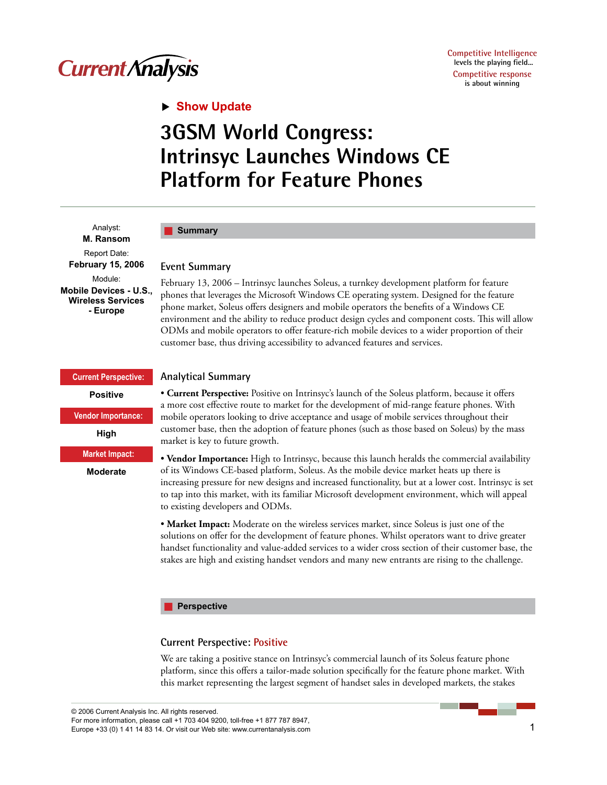

## **Show Update**

# **3GSM World Congress: Intrinsyc Launches Windows CE Platform for Feature Phones**

Analyst: **M. Ransom**  Report Date: **February 15, 2006**  Module: **Mobile Devices - U.S., Wireless Services - Europe** 

### **Summary**

#### **Event Summary**

February 13, 2006 – Intrinsyc launches Soleus, a turnkey development platform for feature phones that leverages the Microsoft Windows CE operating system. Designed for the feature phone market, Soleus offers designers and mobile operators the benefits of a Windows CE environment and the ability to reduce product design cycles and component costs. This will allow ODMs and mobile operators to offer feature-rich mobile devices to a wider proportion of their customer base, thus driving accessibility to advanced features and services.

**Current Perspective: Positive Vendor Importance: High Market Impact: Moderate**

#### **Analytical Summary**

• **Current Perspective:** Positive on Intrinsyc's launch of the Soleus platform, because it offers a more cost effective route to market for the development of mid-range feature phones. With mobile operators looking to drive acceptance and usage of mobile services throughout their customer base, then the adoption of feature phones (such as those based on Soleus) by the mass market is key to future growth.

• **Vendor Importance:** High to Intrinsyc, because this launch heralds the commercial availability of its Windows CE-based platform, Soleus. As the mobile device market heats up there is increasing pressure for new designs and increased functionality, but at a lower cost. Intrinsyc is set to tap into this market, with its familiar Microsoft development environment, which will appeal to existing developers and ODMs.

• **Market Impact:** Moderate on the wireless services market, since Soleus is just one of the solutions on offer for the development of feature phones. Whilst operators want to drive greater handset functionality and value-added services to a wider cross section of their customer base, the stakes are high and existing handset vendors and many new entrants are rising to the challenge.

#### **Perspective** H.

#### **Current Perspective: Positive**

We are taking a positive stance on Intrinsyc's commercial launch of its Soleus feature phone platform, since this offers a tailor-made solution specifically for the feature phone market. With this market representing the largest segment of handset sales in developed markets, the stakes

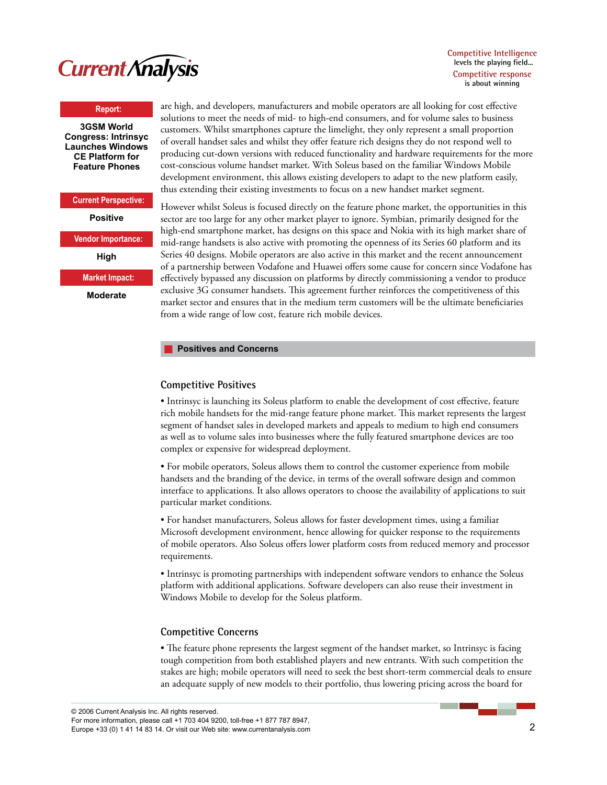

**Competitive Intelligence levels the playing field... Competitive response is about winning**

#### **Report:**

**3GSM World Congress: Intrinsyc Launches Windows CE Platform for Feature Phones**

## **Current Perspective:**

**Positive** 

**Vendor Importance:**

**High** 

**Market Impact:**

**Moderate**

are high, and developers, manufacturers and mobile operators are all looking for cost effective solutions to meet the needs of mid- to high-end consumers, and for volume sales to business customers. Whilst smartphones capture the limelight, they only represent a small proportion of overall handset sales and whilst they offer feature rich designs they do not respond well to producing cut-down versions with reduced functionality and hardware requirements for the more cost-conscious volume handset market. With Soleus based on the familiar Windows Mobile development environment, this allows existing developers to adapt to the new platform easily, thus extending their existing investments to focus on a new handset market segment.

However whilst Soleus is focused directly on the feature phone market, the opportunities in this sector are too large for any other market player to ignore. Symbian, primarily designed for the high-end smartphone market, has designs on this space and Nokia with its high market share of mid-range handsets is also active with promoting the openness of its Series 60 platform and its Series 40 designs. Mobile operators are also active in this market and the recent announcement of a partnership between Vodafone and Huawei offers some cause for concern since Vodafone has effectively bypassed any discussion on platforms by directly commissioning a vendor to produce exclusive 3G consumer handsets. This agreement further reinforces the competitiveness of this market sector and ensures that in the medium term customers will be the ultimate beneficiaries from a wide range of low cost, feature rich mobile devices.

#### **Positives and Concerns**

#### **Competitive Positives**

• Intrinsyc is launching its Soleus platform to enable the development of cost effective, feature rich mobile handsets for the mid-range feature phone market. This market represents the largest segment of handset sales in developed markets and appeals to medium to high end consumers as well as to volume sales into businesses where the fully featured smartphone devices are too complex or expensive for widespread deployment.

• For mobile operators, Soleus allows them to control the customer experience from mobile handsets and the branding of the device, in terms of the overall software design and common interface to applications. It also allows operators to choose the availability of applications to suit particular market conditions.

• For handset manufacturers, Soleus allows for faster development times, using a familiar Microsoft development environment, hence allowing for quicker response to the requirements of mobile operators. Also Soleus offers lower platform costs from reduced memory and processor requirements.

• Intrinsyc is promoting partnerships with independent software vendors to enhance the Soleus platform with additional applications. Software developers can also reuse their investment in Windows Mobile to develop for the Soleus platform.

#### **Competitive Concerns**

• The feature phone represents the largest segment of the handset market, so Intrinsyc is facing tough competition from both established players and new entrants. With such competition the stakes are high; mobile operators will need to seek the best short-term commercial deals to ensure an adequate supply of new models to their portfolio, thus lowering pricing across the board for